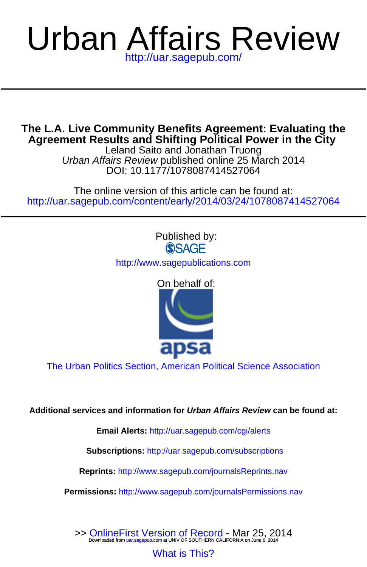# Urban Affairs Review <http://uar.sagepub.com/>

Leland Saito and Jonathan Truong **Agreement Results and Shifting Political Power in the City The L.A. Live Community Benefits Agreement: Evaluating the**

DOI: 10.1177/1078087414527064 Urban Affairs Review published online 25 March 2014

<http://uar.sagepub.com/content/early/2014/03/24/1078087414527064> The online version of this article can be found at:



**Email Alerts:** <http://uar.sagepub.com/cgi/alerts>

**Subscriptions:** <http://uar.sagepub.com/subscriptions>

**Reprints:** <http://www.sagepub.com/journalsReprints.nav>

**Permissions:** <http://www.sagepub.com/journalsPermissions.nav>

[What is This?](http://online.sagepub.com/site/sphelp/vorhelp.xhtml) >> [OnlineFirst Version of Record -](http://uar.sagepub.com/content/early/2014/03/24/1078087414527064.full.pdf) Mar 25, 2014<br>Downloaded from [uar.sagepub.com](http://uar.sagepub.com/) at UNIV OF SOUTHERN CALIFORNIA on June 6, 2014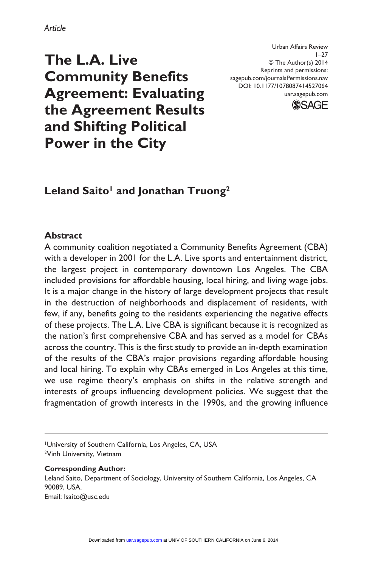**The L.A. Live Community Benefits Agreement: Evaluating the Agreement Results and Shifting Political Power in the City**

# Leland Saito<sup>1</sup> and Jonathan Truong<sup>2</sup>

#### **Abstract**

A community coalition negotiated a Community Benefits Agreement (CBA) with a developer in 2001 for the L.A. Live sports and entertainment district, the largest project in contemporary downtown Los Angeles. The CBA included provisions for affordable housing, local hiring, and living wage jobs. It is a major change in the history of large development projects that result in the destruction of neighborhoods and displacement of residents, with few, if any, benefits going to the residents experiencing the negative effects of these projects. The L.A. Live CBA is significant because it is recognized as the nation's first comprehensive CBA and has served as a model for CBAs across the country. This is the first study to provide an in-depth examination of the results of the CBA's major provisions regarding affordable housing and local hiring. To explain why CBAs emerged in Los Angeles at this time, we use regime theory's emphasis on shifts in the relative strength and interests of groups influencing development policies. We suggest that the fragmentation of growth interests in the 1990s, and the growing influence

1University of Southern California, Los Angeles, CA, USA 2Vinh University, Vietnam

**Corresponding Author:** Leland Saito, Department of Sociology, University of Southern California, Los Angeles, CA 90089, USA. Email: lsaito@usc.edu

sagepub.com/journalsPermissions.nav DOI: 10.1177/1078087414527064 uar.sagepub.com

Urban Affairs Review

© The Author(s) 2014 Reprints and permissions:



 $1 - 27$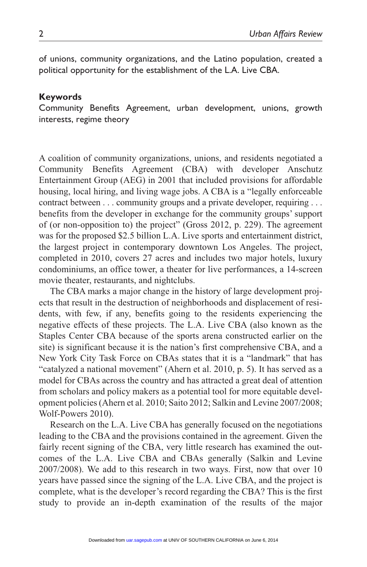of unions, community organizations, and the Latino population, created a political opportunity for the establishment of the L.A. Live CBA.

#### **Keywords**

Community Benefits Agreement, urban development, unions, growth interests, regime theory

A coalition of community organizations, unions, and residents negotiated a Community Benefits Agreement (CBA) with developer Anschutz Entertainment Group (AEG) in 2001 that included provisions for affordable housing, local hiring, and living wage jobs. A CBA is a "legally enforceable contract between . . . community groups and a private developer, requiring . . . benefits from the developer in exchange for the community groups' support of (or non-opposition to) the project" (Gross 2012, p. 229). The agreement was for the proposed \$2.5 billion L.A. Live sports and entertainment district, the largest project in contemporary downtown Los Angeles. The project, completed in 2010, covers 27 acres and includes two major hotels, luxury condominiums, an office tower, a theater for live performances, a 14-screen movie theater, restaurants, and nightclubs.

The CBA marks a major change in the history of large development projects that result in the destruction of neighborhoods and displacement of residents, with few, if any, benefits going to the residents experiencing the negative effects of these projects. The L.A. Live CBA (also known as the Staples Center CBA because of the sports arena constructed earlier on the site) is significant because it is the nation's first comprehensive CBA, and a New York City Task Force on CBAs states that it is a "landmark" that has "catalyzed a national movement" (Ahern et al. 2010, p. 5). It has served as a model for CBAs across the country and has attracted a great deal of attention from scholars and policy makers as a potential tool for more equitable development policies (Ahern et al. 2010; Saito 2012; Salkin and Levine 2007/2008; Wolf-Powers 2010).

Research on the L.A. Live CBA has generally focused on the negotiations leading to the CBA and the provisions contained in the agreement. Given the fairly recent signing of the CBA, very little research has examined the outcomes of the L.A. Live CBA and CBAs generally (Salkin and Levine 2007/2008). We add to this research in two ways. First, now that over 10 years have passed since the signing of the L.A. Live CBA, and the project is complete, what is the developer's record regarding the CBA? This is the first study to provide an in-depth examination of the results of the major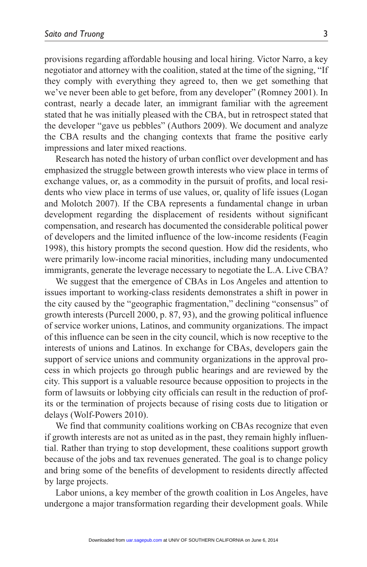provisions regarding affordable housing and local hiring. Victor Narro, a key negotiator and attorney with the coalition, stated at the time of the signing, "If they comply with everything they agreed to, then we get something that we've never been able to get before, from any developer" (Romney 2001). In contrast, nearly a decade later, an immigrant familiar with the agreement stated that he was initially pleased with the CBA, but in retrospect stated that the developer "gave us pebbles" (Authors 2009). We document and analyze the CBA results and the changing contexts that frame the positive early impressions and later mixed reactions.

Research has noted the history of urban conflict over development and has emphasized the struggle between growth interests who view place in terms of exchange values, or, as a commodity in the pursuit of profits, and local residents who view place in terms of use values, or, quality of life issues (Logan and Molotch 2007). If the CBA represents a fundamental change in urban development regarding the displacement of residents without significant compensation, and research has documented the considerable political power of developers and the limited influence of the low-income residents (Feagin 1998), this history prompts the second question. How did the residents, who were primarily low-income racial minorities, including many undocumented immigrants, generate the leverage necessary to negotiate the L.A. Live CBA?

We suggest that the emergence of CBAs in Los Angeles and attention to issues important to working-class residents demonstrates a shift in power in the city caused by the "geographic fragmentation," declining "consensus" of growth interests (Purcell 2000, p. 87, 93), and the growing political influence of service worker unions, Latinos, and community organizations. The impact of this influence can be seen in the city council, which is now receptive to the interests of unions and Latinos. In exchange for CBAs, developers gain the support of service unions and community organizations in the approval process in which projects go through public hearings and are reviewed by the city. This support is a valuable resource because opposition to projects in the form of lawsuits or lobbying city officials can result in the reduction of profits or the termination of projects because of rising costs due to litigation or delays (Wolf-Powers 2010).

We find that community coalitions working on CBAs recognize that even if growth interests are not as united as in the past, they remain highly influential. Rather than trying to stop development, these coalitions support growth because of the jobs and tax revenues generated. The goal is to change policy and bring some of the benefits of development to residents directly affected by large projects.

Labor unions, a key member of the growth coalition in Los Angeles, have undergone a major transformation regarding their development goals. While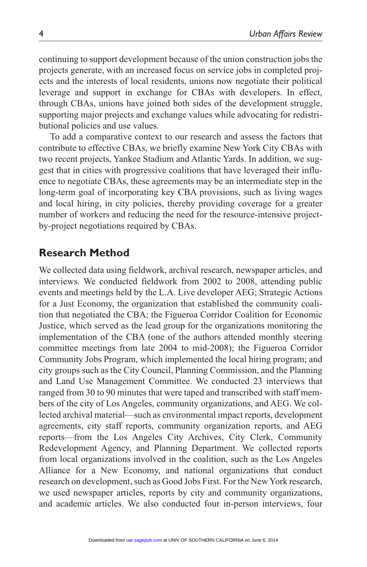continuing to support development because of the union construction jobs the projects generate, with an increased focus on service jobs in completed projects and the interests of local residents, unions now negotiate their political leverage and support in exchange for CBAs with developers. In effect, through CBAs, unions have joined both sides of the development struggle, supporting major projects and exchange values while advocating for redistributional policies and use values.

To add a comparative context to our research and assess the factors that contribute to effective CBAs, we briefly examine New York City CBAs with two recent projects, Yankee Stadium and Atlantic Yards. In addition, we suggest that in cities with progressive coalitions that have leveraged their influence to negotiate CBAs, these agreements may be an intermediate step in the long-term goal of incorporating key CBA provisions, such as living wages and local hiring, in city policies, thereby providing coverage for a greater number of workers and reducing the need for the resource-intensive projectby-project negotiations required by CBAs.

## **Research Method**

We collected data using fieldwork, archival research, newspaper articles, and interviews. We conducted fieldwork from 2002 to 2008, attending public events and meetings held by the L.A. Live developer AEG; Strategic Actions for a Just Economy, the organization that established the community coalition that negotiated the CBA; the Figueroa Corridor Coalition for Economic Justice, which served as the lead group for the organizations monitoring the implementation of the CBA (one of the authors attended monthly steering committee meetings from late 2004 to mid-2008); the Figueroa Corridor Community Jobs Program, which implemented the local hiring program; and city groups such as the City Council, Planning Commission, and the Planning and Land Use Management Committee. We conducted 23 interviews that ranged from 30 to 90 minutes that were taped and transcribed with staff members of the city of Los Angeles, community organizations, and AEG. We collected archival material—such as environmental impact reports, development agreements, city staff reports, community organization reports, and AEG reports—from the Los Angeles City Archives, City Clerk, Community Redevelopment Agency, and Planning Department. We collected reports from local organizations involved in the coalition, such as the Los Angeles Alliance for a New Economy, and national organizations that conduct research on development, such as Good Jobs First. For the New York research, we used newspaper articles, reports by city and community organizations, and academic articles. We also conducted four in-person interviews, four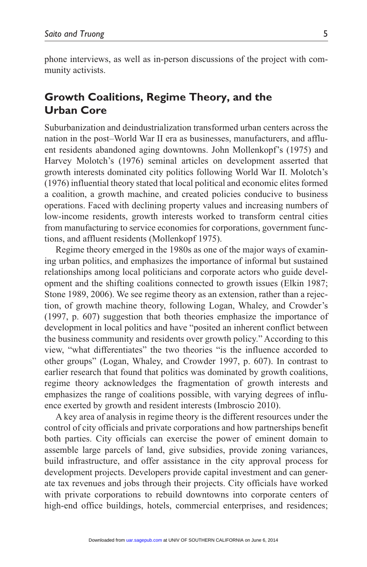phone interviews, as well as in-person discussions of the project with community activists.

# **Growth Coalitions, Regime Theory, and the Urban Core**

Suburbanization and deindustrialization transformed urban centers across the nation in the post–World War II era as businesses, manufacturers, and affluent residents abandoned aging downtowns. John Mollenkopf's (1975) and Harvey Molotch's (1976) seminal articles on development asserted that growth interests dominated city politics following World War II. Molotch's (1976) influential theory stated that local political and economic elites formed a coalition, a growth machine, and created policies conducive to business operations. Faced with declining property values and increasing numbers of low-income residents, growth interests worked to transform central cities from manufacturing to service economies for corporations, government functions, and affluent residents (Mollenkopf 1975).

Regime theory emerged in the 1980s as one of the major ways of examining urban politics, and emphasizes the importance of informal but sustained relationships among local politicians and corporate actors who guide development and the shifting coalitions connected to growth issues (Elkin 1987; Stone 1989, 2006). We see regime theory as an extension, rather than a rejection, of growth machine theory, following Logan, Whaley, and Crowder's (1997, p. 607) suggestion that both theories emphasize the importance of development in local politics and have "posited an inherent conflict between the business community and residents over growth policy." According to this view, "what differentiates" the two theories "is the influence accorded to other groups" (Logan, Whaley, and Crowder 1997, p. 607). In contrast to earlier research that found that politics was dominated by growth coalitions, regime theory acknowledges the fragmentation of growth interests and emphasizes the range of coalitions possible, with varying degrees of influence exerted by growth and resident interests (Imbroscio 2010).

A key area of analysis in regime theory is the different resources under the control of city officials and private corporations and how partnerships benefit both parties. City officials can exercise the power of eminent domain to assemble large parcels of land, give subsidies, provide zoning variances, build infrastructure, and offer assistance in the city approval process for development projects. Developers provide capital investment and can generate tax revenues and jobs through their projects. City officials have worked with private corporations to rebuild downtowns into corporate centers of high-end office buildings, hotels, commercial enterprises, and residences;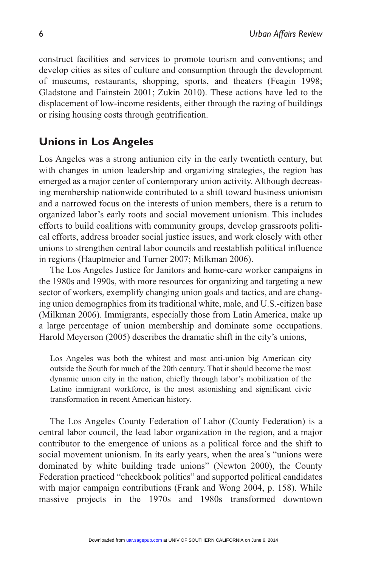construct facilities and services to promote tourism and conventions; and develop cities as sites of culture and consumption through the development of museums, restaurants, shopping, sports, and theaters (Feagin 1998; Gladstone and Fainstein 2001; Zukin 2010). These actions have led to the displacement of low-income residents, either through the razing of buildings or rising housing costs through gentrification.

# **Unions in Los Angeles**

Los Angeles was a strong antiunion city in the early twentieth century, but with changes in union leadership and organizing strategies, the region has emerged as a major center of contemporary union activity. Although decreasing membership nationwide contributed to a shift toward business unionism and a narrowed focus on the interests of union members, there is a return to organized labor's early roots and social movement unionism. This includes efforts to build coalitions with community groups, develop grassroots political efforts, address broader social justice issues, and work closely with other unions to strengthen central labor councils and reestablish political influence in regions (Hauptmeier and Turner 2007; Milkman 2006).

The Los Angeles Justice for Janitors and home-care worker campaigns in the 1980s and 1990s, with more resources for organizing and targeting a new sector of workers, exemplify changing union goals and tactics, and are changing union demographics from its traditional white, male, and U.S.-citizen base (Milkman 2006). Immigrants, especially those from Latin America, make up a large percentage of union membership and dominate some occupations. Harold Meyerson (2005) describes the dramatic shift in the city's unions,

Los Angeles was both the whitest and most anti-union big American city outside the South for much of the 20th century. That it should become the most dynamic union city in the nation, chiefly through labor's mobilization of the Latino immigrant workforce, is the most astonishing and significant civic transformation in recent American history.

The Los Angeles County Federation of Labor (County Federation) is a central labor council, the lead labor organization in the region, and a major contributor to the emergence of unions as a political force and the shift to social movement unionism. In its early years, when the area's "unions were dominated by white building trade unions" (Newton 2000), the County Federation practiced "checkbook politics" and supported political candidates with major campaign contributions (Frank and Wong 2004, p. 158). While massive projects in the 1970s and 1980s transformed downtown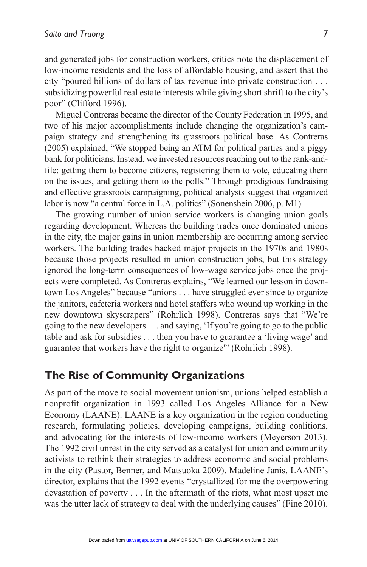and generated jobs for construction workers, critics note the displacement of low-income residents and the loss of affordable housing, and assert that the city "poured billions of dollars of tax revenue into private construction . . . subsidizing powerful real estate interests while giving short shrift to the city's poor" (Clifford 1996).

Miguel Contreras became the director of the County Federation in 1995, and two of his major accomplishments include changing the organization's campaign strategy and strengthening its grassroots political base. As Contreras (2005) explained, "We stopped being an ATM for political parties and a piggy bank for politicians. Instead, we invested resources reaching out to the rank-andfile: getting them to become citizens, registering them to vote, educating them on the issues, and getting them to the polls." Through prodigious fundraising and effective grassroots campaigning, political analysts suggest that organized labor is now "a central force in L.A. politics" (Sonenshein 2006, p. M1).

The growing number of union service workers is changing union goals regarding development. Whereas the building trades once dominated unions in the city, the major gains in union membership are occurring among service workers. The building trades backed major projects in the 1970s and 1980s because those projects resulted in union construction jobs, but this strategy ignored the long-term consequences of low-wage service jobs once the projects were completed. As Contreras explains, "We learned our lesson in downtown Los Angeles" because "unions . . . have struggled ever since to organize the janitors, cafeteria workers and hotel staffers who wound up working in the new downtown skyscrapers" (Rohrlich 1998). Contreras says that "We're going to the new developers . . . and saying, 'If you're going to go to the public table and ask for subsidies . . . then you have to guarantee a 'living wage' and guarantee that workers have the right to organize'" (Rohrlich 1998).

## **The Rise of Community Organizations**

As part of the move to social movement unionism, unions helped establish a nonprofit organization in 1993 called Los Angeles Alliance for a New Economy (LAANE). LAANE is a key organization in the region conducting research, formulating policies, developing campaigns, building coalitions, and advocating for the interests of low-income workers (Meyerson 2013). The 1992 civil unrest in the city served as a catalyst for union and community activists to rethink their strategies to address economic and social problems in the city (Pastor, Benner, and Matsuoka 2009). Madeline Janis, LAANE's director, explains that the 1992 events "crystallized for me the overpowering devastation of poverty . . . In the aftermath of the riots, what most upset me was the utter lack of strategy to deal with the underlying causes" (Fine 2010).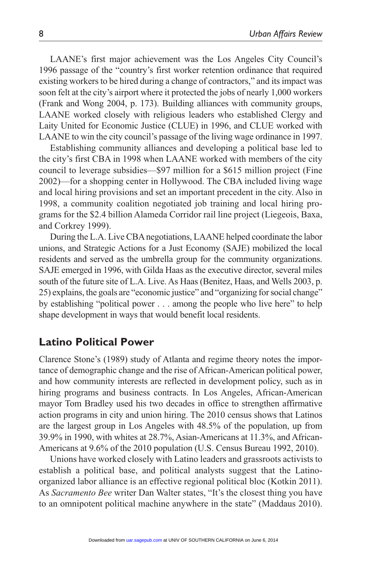LAANE's first major achievement was the Los Angeles City Council's 1996 passage of the "country's first worker retention ordinance that required existing workers to be hired during a change of contractors," and its impact was soon felt at the city's airport where it protected the jobs of nearly 1,000 workers (Frank and Wong 2004, p. 173). Building alliances with community groups, LAANE worked closely with religious leaders who established Clergy and Laity United for Economic Justice (CLUE) in 1996, and CLUE worked with LAANE to win the city council's passage of the living wage ordinance in 1997.

Establishing community alliances and developing a political base led to the city's first CBA in 1998 when LAANE worked with members of the city council to leverage subsidies—\$97 million for a \$615 million project (Fine 2002)—for a shopping center in Hollywood. The CBA included living wage and local hiring provisions and set an important precedent in the city. Also in 1998, a community coalition negotiated job training and local hiring programs for the \$2.4 billion Alameda Corridor rail line project (Liegeois, Baxa, and Corkrey 1999).

During the L.A. Live CBA negotiations, LAANE helped coordinate the labor unions, and Strategic Actions for a Just Economy (SAJE) mobilized the local residents and served as the umbrella group for the community organizations. SAJE emerged in 1996, with Gilda Haas as the executive director, several miles south of the future site of L.A. Live. As Haas (Benitez, Haas, and Wells 2003, p. 25) explains, the goals are "economic justice" and "organizing for social change" by establishing "political power . . . among the people who live here" to help shape development in ways that would benefit local residents.

## **Latino Political Power**

Clarence Stone's (1989) study of Atlanta and regime theory notes the importance of demographic change and the rise of African-American political power, and how community interests are reflected in development policy, such as in hiring programs and business contracts. In Los Angeles, African-American mayor Tom Bradley used his two decades in office to strengthen affirmative action programs in city and union hiring. The 2010 census shows that Latinos are the largest group in Los Angeles with 48.5% of the population, up from 39.9% in 1990, with whites at 28.7%, Asian-Americans at 11.3%, and African-Americans at 9.6% of the 2010 population (U.S. Census Bureau 1992, 2010).

Unions have worked closely with Latino leaders and grassroots activists to establish a political base, and political analysts suggest that the Latinoorganized labor alliance is an effective regional political bloc (Kotkin 2011). As *Sacramento Bee* writer Dan Walter states, "It's the closest thing you have to an omnipotent political machine anywhere in the state" (Maddaus 2010).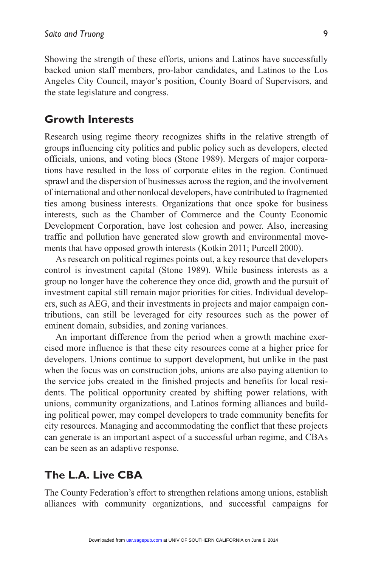Showing the strength of these efforts, unions and Latinos have successfully backed union staff members, pro-labor candidates, and Latinos to the Los Angeles City Council, mayor's position, County Board of Supervisors, and the state legislature and congress.

## **Growth Interests**

Research using regime theory recognizes shifts in the relative strength of groups influencing city politics and public policy such as developers, elected officials, unions, and voting blocs (Stone 1989). Mergers of major corporations have resulted in the loss of corporate elites in the region. Continued sprawl and the dispersion of businesses across the region, and the involvement of international and other nonlocal developers, have contributed to fragmented ties among business interests. Organizations that once spoke for business interests, such as the Chamber of Commerce and the County Economic Development Corporation, have lost cohesion and power. Also, increasing traffic and pollution have generated slow growth and environmental movements that have opposed growth interests (Kotkin 2011; Purcell 2000).

As research on political regimes points out, a key resource that developers control is investment capital (Stone 1989). While business interests as a group no longer have the coherence they once did, growth and the pursuit of investment capital still remain major priorities for cities. Individual developers, such as AEG, and their investments in projects and major campaign contributions, can still be leveraged for city resources such as the power of eminent domain, subsidies, and zoning variances.

An important difference from the period when a growth machine exercised more influence is that these city resources come at a higher price for developers. Unions continue to support development, but unlike in the past when the focus was on construction jobs, unions are also paying attention to the service jobs created in the finished projects and benefits for local residents. The political opportunity created by shifting power relations, with unions, community organizations, and Latinos forming alliances and building political power, may compel developers to trade community benefits for city resources. Managing and accommodating the conflict that these projects can generate is an important aspect of a successful urban regime, and CBAs can be seen as an adaptive response.

## **The L.A. Live CBA**

The County Federation's effort to strengthen relations among unions, establish alliances with community organizations, and successful campaigns for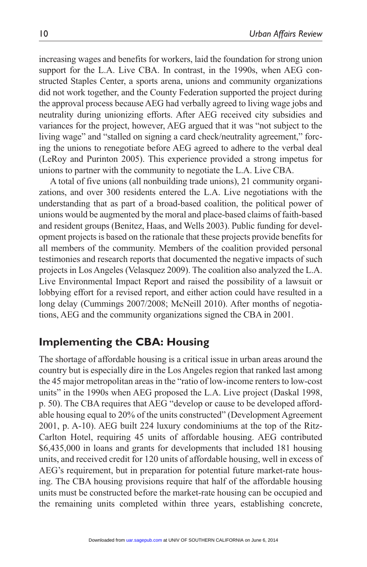increasing wages and benefits for workers, laid the foundation for strong union support for the L.A. Live CBA. In contrast, in the 1990s, when AEG constructed Staples Center, a sports arena, unions and community organizations did not work together, and the County Federation supported the project during the approval process because AEG had verbally agreed to living wage jobs and neutrality during unionizing efforts. After AEG received city subsidies and variances for the project, however, AEG argued that it was "not subject to the living wage" and "stalled on signing a card check/neutrality agreement," forcing the unions to renegotiate before AEG agreed to adhere to the verbal deal (LeRoy and Purinton 2005). This experience provided a strong impetus for unions to partner with the community to negotiate the L.A. Live CBA.

A total of five unions (all nonbuilding trade unions), 21 community organizations, and over 300 residents entered the L.A. Live negotiations with the understanding that as part of a broad-based coalition, the political power of unions would be augmented by the moral and place-based claims of faith-based and resident groups (Benitez, Haas, and Wells 2003). Public funding for development projects is based on the rationale that these projects provide benefits for all members of the community. Members of the coalition provided personal testimonies and research reports that documented the negative impacts of such projects in Los Angeles (Velasquez 2009). The coalition also analyzed the L.A. Live Environmental Impact Report and raised the possibility of a lawsuit or lobbying effort for a revised report, and either action could have resulted in a long delay (Cummings 2007/2008; McNeill 2010). After months of negotiations, AEG and the community organizations signed the CBA in 2001.

## **Implementing the CBA: Housing**

The shortage of affordable housing is a critical issue in urban areas around the country but is especially dire in the Los Angeles region that ranked last among the 45 major metropolitan areas in the "ratio of low-income renters to low-cost units" in the 1990s when AEG proposed the L.A. Live project (Daskal 1998, p. 50). The CBA requires that AEG "develop or cause to be developed affordable housing equal to 20% of the units constructed" (Development Agreement 2001, p. A-10). AEG built 224 luxury condominiums at the top of the Ritz-Carlton Hotel, requiring 45 units of affordable housing. AEG contributed \$6,435,000 in loans and grants for developments that included 181 housing units, and received credit for 120 units of affordable housing, well in excess of AEG's requirement, but in preparation for potential future market-rate housing. The CBA housing provisions require that half of the affordable housing units must be constructed before the market-rate housing can be occupied and the remaining units completed within three years, establishing concrete,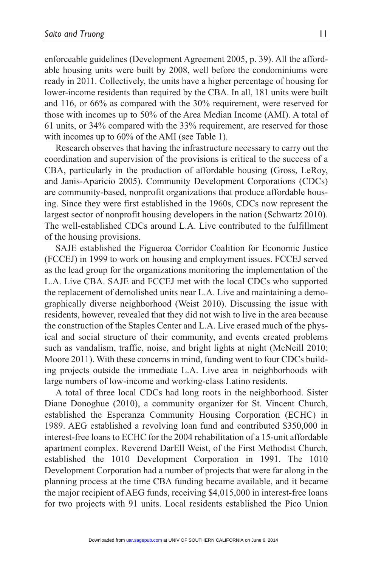enforceable guidelines (Development Agreement 2005, p. 39). All the affordable housing units were built by 2008, well before the condominiums were ready in 2011. Collectively, the units have a higher percentage of housing for lower-income residents than required by the CBA. In all, 181 units were built and 116, or 66% as compared with the 30% requirement, were reserved for those with incomes up to 50% of the Area Median Income (AMI). A total of 61 units, or 34% compared with the 33% requirement, are reserved for those with incomes up to 60% of the AMI (see Table 1).

Research observes that having the infrastructure necessary to carry out the coordination and supervision of the provisions is critical to the success of a CBA, particularly in the production of affordable housing (Gross, LeRoy, and Janis-Aparicio 2005). Community Development Corporations (CDCs) are community-based, nonprofit organizations that produce affordable housing. Since they were first established in the 1960s, CDCs now represent the largest sector of nonprofit housing developers in the nation (Schwartz 2010). The well-established CDCs around L.A. Live contributed to the fulfillment of the housing provisions.

SAJE established the Figueroa Corridor Coalition for Economic Justice (FCCEJ) in 1999 to work on housing and employment issues. FCCEJ served as the lead group for the organizations monitoring the implementation of the L.A. Live CBA. SAJE and FCCEJ met with the local CDCs who supported the replacement of demolished units near L.A. Live and maintaining a demographically diverse neighborhood (Weist 2010). Discussing the issue with residents, however, revealed that they did not wish to live in the area because the construction of the Staples Center and L.A. Live erased much of the physical and social structure of their community, and events created problems such as vandalism, traffic, noise, and bright lights at night (McNeill 2010; Moore 2011). With these concerns in mind, funding went to four CDCs building projects outside the immediate L.A. Live area in neighborhoods with large numbers of low-income and working-class Latino residents.

A total of three local CDCs had long roots in the neighborhood. Sister Diane Donoghue (2010), a community organizer for St. Vincent Church, established the Esperanza Community Housing Corporation (ECHC) in 1989. AEG established a revolving loan fund and contributed \$350,000 in interest-free loans to ECHC for the 2004 rehabilitation of a 15-unit affordable apartment complex. Reverend DarEll Weist, of the First Methodist Church, established the 1010 Development Corporation in 1991. The 1010 Development Corporation had a number of projects that were far along in the planning process at the time CBA funding became available, and it became the major recipient of AEG funds, receiving \$4,015,000 in interest-free loans for two projects with 91 units. Local residents established the Pico Union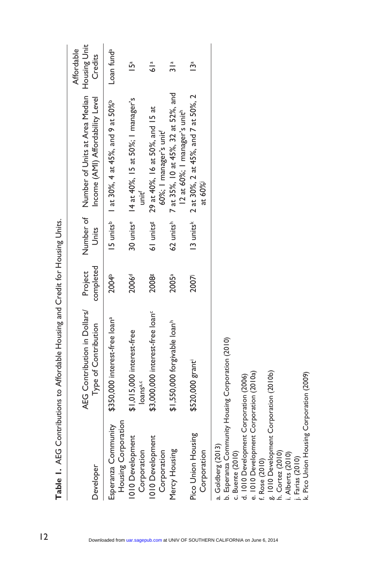|                                                                                                                                                                                                                                                                                                                                                        | comparation of the District of the Marian Director of the Content of Director of the Director of the Director of the Director of the Director of the Director of the Director of the Director of the Director of the Director |                      |                         |                                                                                           |                                       |
|--------------------------------------------------------------------------------------------------------------------------------------------------------------------------------------------------------------------------------------------------------------------------------------------------------------------------------------------------------|-------------------------------------------------------------------------------------------------------------------------------------------------------------------------------------------------------------------------------|----------------------|-------------------------|-------------------------------------------------------------------------------------------|---------------------------------------|
| Developer                                                                                                                                                                                                                                                                                                                                              | AEG Contribution in Dollars/<br>Type of Contribution                                                                                                                                                                          | completed<br>Project | Units                   | Number of Number of Units at Area Median<br>Income (AMI) Affordability Level              | Housing Unit<br>Affordable<br>Credits |
| Housing Corporation<br>Esperanza Community                                                                                                                                                                                                                                                                                                             | \$350,000 interest-free loan <sup>a</sup>                                                                                                                                                                                     | 2004 <sup>b</sup>    |                         | 15 units <sup>b</sup> 1 at 30%, 4 at 45%, and 9 at 50% <sup>b</sup>                       | Loan fund <sup>a</sup>                |
| 1010 Development<br>Corporation                                                                                                                                                                                                                                                                                                                        | \$1,015,000 interest-free<br>loans <sup>a,c</sup>                                                                                                                                                                             | 2006 <sup>d</sup>    |                         | 30 units <sup>e</sup> 14 at 40%, 15 at 50%; 1 manager's<br>unit'                          | $\overline{5}^a$                      |
| 1010 Development<br>Corporation                                                                                                                                                                                                                                                                                                                        | \$3,000,000 interest-free loan <sup>c</sup>                                                                                                                                                                                   | 2008                 | 61 units <sup>g</sup>   | 29 at 40%, 16 at 50%, and 15 at<br>60%; I manager's unit'                                 | $\frac{a}{\mathbf{6}}$                |
| Mercy Housing                                                                                                                                                                                                                                                                                                                                          | \$1,550,000 forgivable loan <sup>h</sup>                                                                                                                                                                                      | 2005ª                |                         | 62 units <sup>h</sup> 7 at 35%, 10 at 45%, 32 at 52%, and<br>12 at 60%; I manager's unith | $\frac{a}{2}$                         |
| Pico Union Housing<br>Corporation                                                                                                                                                                                                                                                                                                                      | \$520,000 grant                                                                                                                                                                                                               | 2007                 | $13$ units <sup>k</sup> | 2 at 30%, 2 at 45%, and 7 at 50%, 2<br>at 60%                                             | 13 <sup>a</sup>                       |
| b. Esperanza Community Housing Corporation (2010)<br>e. 1010 Development Corporation (2010a)<br>g. 1010 Development Corporation (2010b)<br>k. Pico Union Housing Corporation (2009)<br>d. 1010 Development Corporation (2006)<br>a. Goldberg (2013)<br>c. Buente (2010)<br>h. Cortez (2010)<br>i. Alberts (2010)<br>j. Farias (2010)<br>f. Rose (2010) |                                                                                                                                                                                                                               |                      |                         |                                                                                           |                                       |

**Table 1.** AFG Contributions to Affordable Housing and Credit for Housing Units. **Table 1.** AEG Contributions to Affordable Housing and Credit for Housing Units.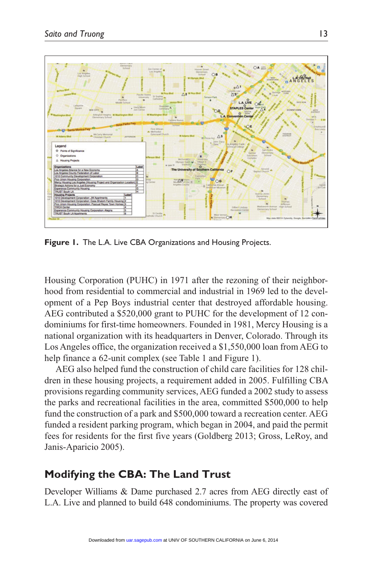

**Figure 1.** The L.A. Live CBA Organizations and Housing Projects.

Housing Corporation (PUHC) in 1971 after the rezoning of their neighborhood from residential to commercial and industrial in 1969 led to the development of a Pep Boys industrial center that destroyed affordable housing. AEG contributed a \$520,000 grant to PUHC for the development of 12 condominiums for first-time homeowners. Founded in 1981, Mercy Housing is a national organization with its headquarters in Denver, Colorado. Through its Los Angeles office, the organization received a \$1,550,000 loan from AEG to help finance a 62-unit complex (see Table 1 and Figure 1).

AEG also helped fund the construction of child care facilities for 128 children in these housing projects, a requirement added in 2005. Fulfilling CBA provisions regarding community services, AEG funded a 2002 study to assess the parks and recreational facilities in the area, committed \$500,000 to help fund the construction of a park and \$500,000 toward a recreation center. AEG funded a resident parking program, which began in 2004, and paid the permit fees for residents for the first five years (Goldberg 2013; Gross, LeRoy, and Janis-Aparicio 2005).

## **Modifying the CBA: The Land Trust**

Developer Williams & Dame purchased 2.7 acres from AEG directly east of L.A. Live and planned to build 648 condominiums. The property was covered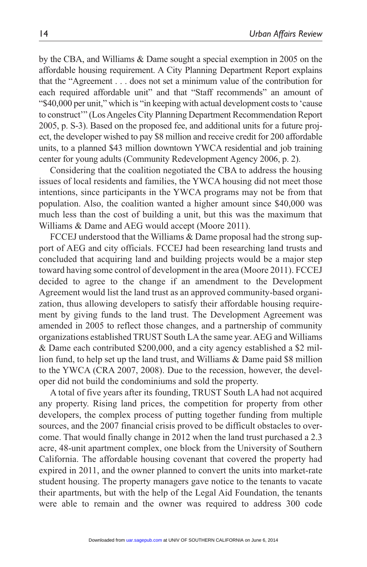by the CBA, and Williams & Dame sought a special exemption in 2005 on the affordable housing requirement. A City Planning Department Report explains that the "Agreement . . . does not set a minimum value of the contribution for each required affordable unit" and that "Staff recommends" an amount of "\$40,000 per unit," which is "in keeping with actual development costs to 'cause to construct'" (Los Angeles City Planning Department Recommendation Report 2005, p. S-3). Based on the proposed fee, and additional units for a future project, the developer wished to pay \$8 million and receive credit for 200 affordable units, to a planned \$43 million downtown YWCA residential and job training center for young adults (Community Redevelopment Agency 2006, p. 2).

Considering that the coalition negotiated the CBA to address the housing issues of local residents and families, the YWCA housing did not meet those intentions, since participants in the YWCA programs may not be from that population. Also, the coalition wanted a higher amount since \$40,000 was much less than the cost of building a unit, but this was the maximum that Williams & Dame and AEG would accept (Moore 2011).

FCCEJ understood that the Williams & Dame proposal had the strong support of AEG and city officials. FCCEJ had been researching land trusts and concluded that acquiring land and building projects would be a major step toward having some control of development in the area (Moore 2011). FCCEJ decided to agree to the change if an amendment to the Development Agreement would list the land trust as an approved community-based organization, thus allowing developers to satisfy their affordable housing requirement by giving funds to the land trust. The Development Agreement was amended in 2005 to reflect those changes, and a partnership of community organizations established TRUST South LA the same year. AEG and Williams & Dame each contributed \$200,000, and a city agency established a \$2 million fund, to help set up the land trust, and Williams & Dame paid \$8 million to the YWCA (CRA 2007, 2008). Due to the recession, however, the developer did not build the condominiums and sold the property.

A total of five years after its founding, TRUST South LA had not acquired any property. Rising land prices, the competition for property from other developers, the complex process of putting together funding from multiple sources, and the 2007 financial crisis proved to be difficult obstacles to overcome. That would finally change in 2012 when the land trust purchased a 2.3 acre, 48-unit apartment complex, one block from the University of Southern California. The affordable housing covenant that covered the property had expired in 2011, and the owner planned to convert the units into market-rate student housing. The property managers gave notice to the tenants to vacate their apartments, but with the help of the Legal Aid Foundation, the tenants were able to remain and the owner was required to address 300 code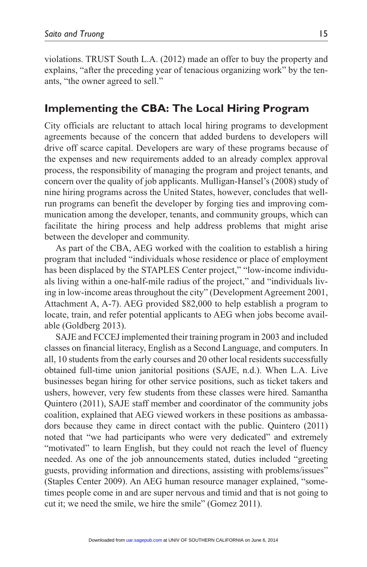violations. TRUST South L.A. (2012) made an offer to buy the property and explains, "after the preceding year of tenacious organizing work" by the tenants, "the owner agreed to sell."

## **Implementing the CBA: The Local Hiring Program**

City officials are reluctant to attach local hiring programs to development agreements because of the concern that added burdens to developers will drive off scarce capital. Developers are wary of these programs because of the expenses and new requirements added to an already complex approval process, the responsibility of managing the program and project tenants, and concern over the quality of job applicants. Mulligan-Hansel's (2008) study of nine hiring programs across the United States, however, concludes that wellrun programs can benefit the developer by forging ties and improving communication among the developer, tenants, and community groups, which can facilitate the hiring process and help address problems that might arise between the developer and community.

As part of the CBA, AEG worked with the coalition to establish a hiring program that included "individuals whose residence or place of employment has been displaced by the STAPLES Center project," "low-income individuals living within a one-half-mile radius of the project," and "individuals living in low-income areas throughout the city" (Development Agreement 2001, Attachment A, A-7). AEG provided \$82,000 to help establish a program to locate, train, and refer potential applicants to AEG when jobs become available (Goldberg 2013).

SAJE and FCCEJ implemented their training program in 2003 and included classes on financial literacy, English as a Second Language, and computers. In all, 10 students from the early courses and 20 other local residents successfully obtained full-time union janitorial positions (SAJE, n.d.). When L.A. Live businesses began hiring for other service positions, such as ticket takers and ushers, however, very few students from these classes were hired. Samantha Quintero (2011), SAJE staff member and coordinator of the community jobs coalition, explained that AEG viewed workers in these positions as ambassadors because they came in direct contact with the public. Quintero (2011) noted that "we had participants who were very dedicated" and extremely "motivated" to learn English, but they could not reach the level of fluency needed. As one of the job announcements stated, duties included "greeting guests, providing information and directions, assisting with problems/issues" (Staples Center 2009). An AEG human resource manager explained, "sometimes people come in and are super nervous and timid and that is not going to cut it; we need the smile, we hire the smile" (Gomez 2011).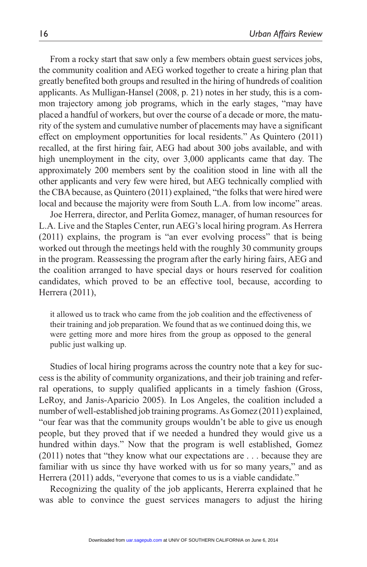From a rocky start that saw only a few members obtain guest services jobs, the community coalition and AEG worked together to create a hiring plan that greatly benefited both groups and resulted in the hiring of hundreds of coalition applicants. As Mulligan-Hansel (2008, p. 21) notes in her study, this is a common trajectory among job programs, which in the early stages, "may have placed a handful of workers, but over the course of a decade or more, the maturity of the system and cumulative number of placements may have a significant effect on employment opportunities for local residents." As Quintero (2011) recalled, at the first hiring fair, AEG had about 300 jobs available, and with high unemployment in the city, over 3,000 applicants came that day. The approximately 200 members sent by the coalition stood in line with all the other applicants and very few were hired, but AEG technically complied with the CBA because, as Quintero (2011) explained, "the folks that were hired were local and because the majority were from South L.A. from low income" areas.

Joe Herrera, director, and Perlita Gomez, manager, of human resources for L.A. Live and the Staples Center, run AEG's local hiring program. As Herrera (2011) explains, the program is "an ever evolving process" that is being worked out through the meetings held with the roughly 30 community groups in the program. Reassessing the program after the early hiring fairs, AEG and the coalition arranged to have special days or hours reserved for coalition candidates, which proved to be an effective tool, because, according to Herrera (2011),

it allowed us to track who came from the job coalition and the effectiveness of their training and job preparation. We found that as we continued doing this, we were getting more and more hires from the group as opposed to the general public just walking up.

Studies of local hiring programs across the country note that a key for success is the ability of community organizations, and their job training and referral operations, to supply qualified applicants in a timely fashion (Gross, LeRoy, and Janis-Aparicio 2005). In Los Angeles, the coalition included a number of well-established job training programs. As Gomez (2011) explained, "our fear was that the community groups wouldn't be able to give us enough people, but they proved that if we needed a hundred they would give us a hundred within days." Now that the program is well established, Gomez (2011) notes that "they know what our expectations are . . . because they are familiar with us since thy have worked with us for so many years," and as Herrera (2011) adds, "everyone that comes to us is a viable candidate."

Recognizing the quality of the job applicants, Hererra explained that he was able to convince the guest services managers to adjust the hiring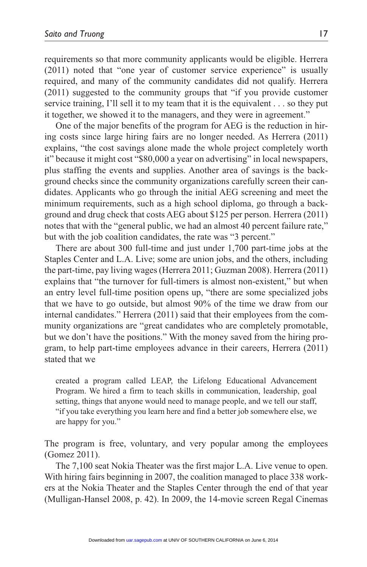requirements so that more community applicants would be eligible. Herrera (2011) noted that "one year of customer service experience" is usually required, and many of the community candidates did not qualify. Herrera (2011) suggested to the community groups that "if you provide customer service training, I'll sell it to my team that it is the equivalent . . . so they put it together, we showed it to the managers, and they were in agreement."

One of the major benefits of the program for AEG is the reduction in hiring costs since large hiring fairs are no longer needed. As Herrera (2011) explains, "the cost savings alone made the whole project completely worth it" because it might cost "\$80,000 a year on advertising" in local newspapers, plus staffing the events and supplies. Another area of savings is the background checks since the community organizations carefully screen their candidates. Applicants who go through the initial AEG screening and meet the minimum requirements, such as a high school diploma, go through a background and drug check that costs AEG about \$125 per person. Herrera (2011) notes that with the "general public, we had an almost 40 percent failure rate," but with the job coalition candidates, the rate was "3 percent."

There are about 300 full-time and just under 1,700 part-time jobs at the Staples Center and L.A. Live; some are union jobs, and the others, including the part-time, pay living wages (Herrera 2011; Guzman 2008). Herrera (2011) explains that "the turnover for full-timers is almost non-existent," but when an entry level full-time position opens up, "there are some specialized jobs that we have to go outside, but almost 90% of the time we draw from our internal candidates." Herrera (2011) said that their employees from the community organizations are "great candidates who are completely promotable, but we don't have the positions." With the money saved from the hiring program, to help part-time employees advance in their careers, Herrera (2011) stated that we

created a program called LEAP, the Lifelong Educational Advancement Program. We hired a firm to teach skills in communication, leadership, goal setting, things that anyone would need to manage people, and we tell our staff, "if you take everything you learn here and find a better job somewhere else, we are happy for you."

The program is free, voluntary, and very popular among the employees (Gomez 2011).

The 7,100 seat Nokia Theater was the first major L.A. Live venue to open. With hiring fairs beginning in 2007, the coalition managed to place 338 workers at the Nokia Theater and the Staples Center through the end of that year (Mulligan-Hansel 2008, p. 42). In 2009, the 14-movie screen Regal Cinemas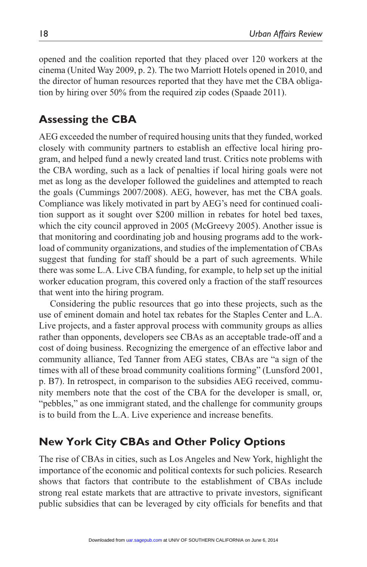opened and the coalition reported that they placed over 120 workers at the cinema (United Way 2009, p. 2). The two Marriott Hotels opened in 2010, and the director of human resources reported that they have met the CBA obligation by hiring over 50% from the required zip codes (Spaade 2011).

# **Assessing the CBA**

AEG exceeded the number of required housing units that they funded, worked closely with community partners to establish an effective local hiring program, and helped fund a newly created land trust. Critics note problems with the CBA wording, such as a lack of penalties if local hiring goals were not met as long as the developer followed the guidelines and attempted to reach the goals (Cummings 2007/2008). AEG, however, has met the CBA goals. Compliance was likely motivated in part by AEG's need for continued coalition support as it sought over \$200 million in rebates for hotel bed taxes, which the city council approved in 2005 (McGreevy 2005). Another issue is that monitoring and coordinating job and housing programs add to the workload of community organizations, and studies of the implementation of CBAs suggest that funding for staff should be a part of such agreements. While there was some L.A. Live CBA funding, for example, to help set up the initial worker education program, this covered only a fraction of the staff resources that went into the hiring program.

Considering the public resources that go into these projects, such as the use of eminent domain and hotel tax rebates for the Staples Center and L.A. Live projects, and a faster approval process with community groups as allies rather than opponents, developers see CBAs as an acceptable trade-off and a cost of doing business. Recognizing the emergence of an effective labor and community alliance, Ted Tanner from AEG states, CBAs are "a sign of the times with all of these broad community coalitions forming" (Lunsford 2001, p. B7). In retrospect, in comparison to the subsidies AEG received, community members note that the cost of the CBA for the developer is small, or, "pebbles," as one immigrant stated, and the challenge for community groups is to build from the L.A. Live experience and increase benefits.

# **New York City CBAs and Other Policy Options**

The rise of CBAs in cities, such as Los Angeles and New York, highlight the importance of the economic and political contexts for such policies. Research shows that factors that contribute to the establishment of CBAs include strong real estate markets that are attractive to private investors, significant public subsidies that can be leveraged by city officials for benefits and that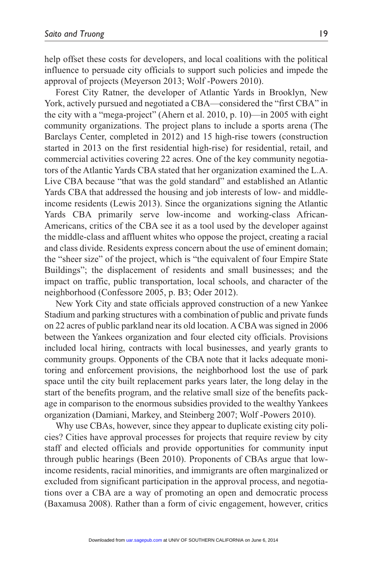help offset these costs for developers, and local coalitions with the political influence to persuade city officials to support such policies and impede the approval of projects (Meyerson 2013; Wolf -Powers 2010).

Forest City Ratner, the developer of Atlantic Yards in Brooklyn, New York, actively pursued and negotiated a CBA—considered the "first CBA" in the city with a "mega-project" (Ahern et al. 2010, p. 10)—in 2005 with eight community organizations. The project plans to include a sports arena (The Barclays Center, completed in 2012) and 15 high-rise towers (construction started in 2013 on the first residential high-rise) for residential, retail, and commercial activities covering 22 acres. One of the key community negotiators of the Atlantic Yards CBA stated that her organization examined the L.A. Live CBA because "that was the gold standard" and established an Atlantic Yards CBA that addressed the housing and job interests of low- and middleincome residents (Lewis 2013). Since the organizations signing the Atlantic Yards CBA primarily serve low-income and working-class African-Americans, critics of the CBA see it as a tool used by the developer against the middle-class and affluent whites who oppose the project, creating a racial and class divide. Residents express concern about the use of eminent domain; the "sheer size" of the project, which is "the equivalent of four Empire State Buildings"; the displacement of residents and small businesses; and the impact on traffic, public transportation, local schools, and character of the neighborhood (Confessore 2005, p. B3; Oder 2012).

New York City and state officials approved construction of a new Yankee Stadium and parking structures with a combination of public and private funds on 22 acres of public parkland near its old location. A CBA was signed in 2006 between the Yankees organization and four elected city officials. Provisions included local hiring, contracts with local businesses, and yearly grants to community groups. Opponents of the CBA note that it lacks adequate monitoring and enforcement provisions, the neighborhood lost the use of park space until the city built replacement parks years later, the long delay in the start of the benefits program, and the relative small size of the benefits package in comparison to the enormous subsidies provided to the wealthy Yankees organization (Damiani, Markey, and Steinberg 2007; Wolf -Powers 2010).

Why use CBAs, however, since they appear to duplicate existing city policies? Cities have approval processes for projects that require review by city staff and elected officials and provide opportunities for community input through public hearings (Been 2010). Proponents of CBAs argue that lowincome residents, racial minorities, and immigrants are often marginalized or excluded from significant participation in the approval process, and negotiations over a CBA are a way of promoting an open and democratic process (Baxamusa 2008). Rather than a form of civic engagement, however, critics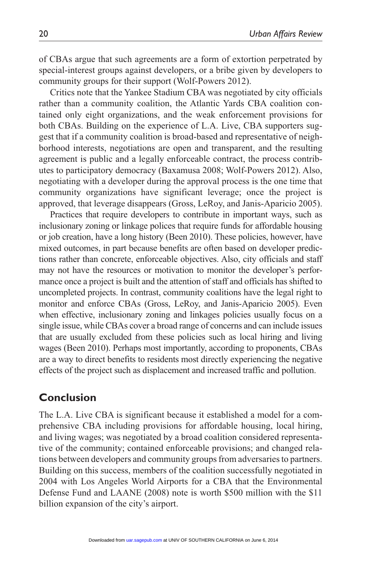of CBAs argue that such agreements are a form of extortion perpetrated by special-interest groups against developers, or a bribe given by developers to community groups for their support (Wolf-Powers 2012).

Critics note that the Yankee Stadium CBA was negotiated by city officials rather than a community coalition, the Atlantic Yards CBA coalition contained only eight organizations, and the weak enforcement provisions for both CBAs. Building on the experience of L.A. Live, CBA supporters suggest that if a community coalition is broad-based and representative of neighborhood interests, negotiations are open and transparent, and the resulting agreement is public and a legally enforceable contract, the process contributes to participatory democracy (Baxamusa 2008; Wolf-Powers 2012). Also, negotiating with a developer during the approval process is the one time that community organizations have significant leverage; once the project is approved, that leverage disappears (Gross, LeRoy, and Janis-Aparicio 2005).

Practices that require developers to contribute in important ways, such as inclusionary zoning or linkage polices that require funds for affordable housing or job creation, have a long history (Been 2010). These policies, however, have mixed outcomes, in part because benefits are often based on developer predictions rather than concrete, enforceable objectives. Also, city officials and staff may not have the resources or motivation to monitor the developer's performance once a project is built and the attention of staff and officials has shifted to uncompleted projects. In contrast, community coalitions have the legal right to monitor and enforce CBAs (Gross, LeRoy, and Janis-Aparicio 2005). Even when effective, inclusionary zoning and linkages policies usually focus on a single issue, while CBAs cover a broad range of concerns and can include issues that are usually excluded from these policies such as local hiring and living wages (Been 2010). Perhaps most importantly, according to proponents, CBAs are a way to direct benefits to residents most directly experiencing the negative effects of the project such as displacement and increased traffic and pollution.

#### **Conclusion**

The L.A. Live CBA is significant because it established a model for a comprehensive CBA including provisions for affordable housing, local hiring, and living wages; was negotiated by a broad coalition considered representative of the community; contained enforceable provisions; and changed relations between developers and community groups from adversaries to partners. Building on this success, members of the coalition successfully negotiated in 2004 with Los Angeles World Airports for a CBA that the Environmental Defense Fund and LAANE (2008) note is worth \$500 million with the \$11 billion expansion of the city's airport.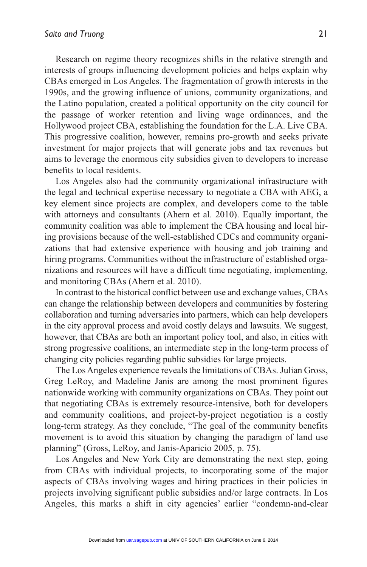Research on regime theory recognizes shifts in the relative strength and interests of groups influencing development policies and helps explain why CBAs emerged in Los Angeles. The fragmentation of growth interests in the 1990s, and the growing influence of unions, community organizations, and the Latino population, created a political opportunity on the city council for the passage of worker retention and living wage ordinances, and the Hollywood project CBA, establishing the foundation for the L.A. Live CBA. This progressive coalition, however, remains pro-growth and seeks private investment for major projects that will generate jobs and tax revenues but aims to leverage the enormous city subsidies given to developers to increase benefits to local residents.

Los Angeles also had the community organizational infrastructure with the legal and technical expertise necessary to negotiate a CBA with AEG, a key element since projects are complex, and developers come to the table with attorneys and consultants (Ahern et al. 2010). Equally important, the community coalition was able to implement the CBA housing and local hiring provisions because of the well-established CDCs and community organizations that had extensive experience with housing and job training and hiring programs. Communities without the infrastructure of established organizations and resources will have a difficult time negotiating, implementing, and monitoring CBAs (Ahern et al. 2010).

In contrast to the historical conflict between use and exchange values, CBAs can change the relationship between developers and communities by fostering collaboration and turning adversaries into partners, which can help developers in the city approval process and avoid costly delays and lawsuits. We suggest, however, that CBAs are both an important policy tool, and also, in cities with strong progressive coalitions, an intermediate step in the long-term process of changing city policies regarding public subsidies for large projects.

The Los Angeles experience reveals the limitations of CBAs. Julian Gross, Greg LeRoy, and Madeline Janis are among the most prominent figures nationwide working with community organizations on CBAs. They point out that negotiating CBAs is extremely resource-intensive, both for developers and community coalitions, and project-by-project negotiation is a costly long-term strategy. As they conclude, "The goal of the community benefits movement is to avoid this situation by changing the paradigm of land use planning" (Gross, LeRoy, and Janis-Aparicio 2005, p. 75).

Los Angeles and New York City are demonstrating the next step, going from CBAs with individual projects, to incorporating some of the major aspects of CBAs involving wages and hiring practices in their policies in projects involving significant public subsidies and/or large contracts. In Los Angeles, this marks a shift in city agencies' earlier "condemn-and-clear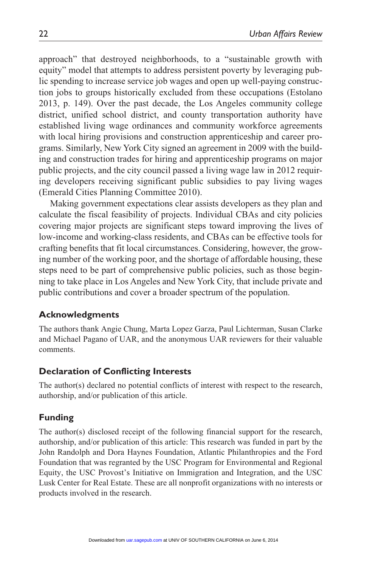approach" that destroyed neighborhoods, to a "sustainable growth with equity" model that attempts to address persistent poverty by leveraging public spending to increase service job wages and open up well-paying construction jobs to groups historically excluded from these occupations (Estolano 2013, p. 149). Over the past decade, the Los Angeles community college district, unified school district, and county transportation authority have established living wage ordinances and community workforce agreements with local hiring provisions and construction apprenticeship and career programs. Similarly, New York City signed an agreement in 2009 with the building and construction trades for hiring and apprenticeship programs on major public projects, and the city council passed a living wage law in 2012 requiring developers receiving significant public subsidies to pay living wages (Emerald Cities Planning Committee 2010).

Making government expectations clear assists developers as they plan and calculate the fiscal feasibility of projects. Individual CBAs and city policies covering major projects are significant steps toward improving the lives of low-income and working-class residents, and CBAs can be effective tools for crafting benefits that fit local circumstances. Considering, however, the growing number of the working poor, and the shortage of affordable housing, these steps need to be part of comprehensive public policies, such as those beginning to take place in Los Angeles and New York City, that include private and public contributions and cover a broader spectrum of the population.

#### **Acknowledgments**

The authors thank Angie Chung, Marta Lopez Garza, Paul Lichterman, Susan Clarke and Michael Pagano of UAR, and the anonymous UAR reviewers for their valuable comments.

#### **Declaration of Conflicting Interests**

The author(s) declared no potential conflicts of interest with respect to the research, authorship, and/or publication of this article.

#### **Funding**

The author(s) disclosed receipt of the following financial support for the research, authorship, and/or publication of this article: This research was funded in part by the John Randolph and Dora Haynes Foundation, Atlantic Philanthropies and the Ford Foundation that was regranted by the USC Program for Environmental and Regional Equity, the USC Provost's Initiative on Immigration and Integration, and the USC Lusk Center for Real Estate. These are all nonprofit organizations with no interests or products involved in the research.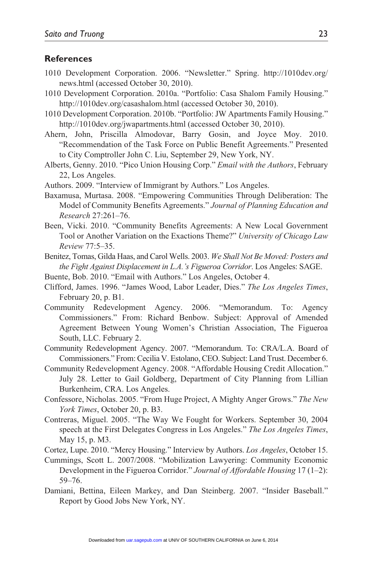#### **References**

- 1010 Development Corporation. 2006. "Newsletter." Spring. http://1010dev.org/ news.html (accessed October 30, 2010).
- 1010 Development Corporation. 2010a. "Portfolio: Casa Shalom Family Housing." http://1010dev.org/casashalom.html (accessed October 30, 2010).
- 1010 Development Corporation. 2010b. "Portfolio: JW Apartments Family Housing." http://1010dev.org/jwapartments.html (accessed October 30, 2010).
- Ahern, John, Priscilla Almodovar, Barry Gosin, and Joyce Moy. 2010. "Recommendation of the Task Force on Public Benefit Agreements." Presented to City Comptroller John C. Liu, September 29, New York, NY.
- Alberts, Genny. 2010. "Pico Union Housing Corp." *Email with the Authors*, February 22, Los Angeles.
- Authors. 2009. "Interview of Immigrant by Authors." Los Angeles.
- Baxamusa, Murtasa. 2008. "Empowering Communities Through Deliberation: The Model of Community Benefits Agreements." *Journal of Planning Education and Research* 27:261–76.
- Been, Vicki. 2010. "Community Benefits Agreements: A New Local Government Tool or Another Variation on the Exactions Theme?" *University of Chicago Law Review* 77:5–35.
- Benitez, Tomas, Gilda Haas, and Carol Wells. 2003. *We Shall Not Be Moved: Posters and the Fight Against Displacement in L.A.'s Figueroa Corridor*. Los Angeles: SAGE.
- Buente, Bob. 2010. "Email with Authors." Los Angeles, October 4.
- Clifford, James. 1996. "James Wood, Labor Leader, Dies." *The Los Angeles Times*, February 20, p. B1.
- Community Redevelopment Agency. 2006. "Memorandum. To: Agency Commissioners." From: Richard Benbow. Subject: Approval of Amended Agreement Between Young Women's Christian Association, The Figueroa South, LLC. February 2.
- Community Redevelopment Agency. 2007. "Memorandum. To: CRA/L.A. Board of Commissioners." From: Cecilia V. Estolano, CEO. Subject: Land Trust. December 6.
- Community Redevelopment Agency. 2008. "Affordable Housing Credit Allocation." July 28. Letter to Gail Goldberg, Department of City Planning from Lillian Burkenheim, CRA. Los Angeles.
- Confessore, Nicholas. 2005. "From Huge Project, A Mighty Anger Grows." *The New York Times*, October 20, p. B3.
- Contreras, Miguel. 2005. "The Way We Fought for Workers. September 30, 2004 speech at the First Delegates Congress in Los Angeles." *The Los Angeles Times*, May 15, p. M3.
- Cortez, Lupe. 2010. "Mercy Housing." Interview by Authors. *Los Angeles*, October 15.
- Cummings, Scott L. 2007/2008. "Mobilization Lawyering: Community Economic Development in the Figueroa Corridor." *Journal of Affordable Housing* 17 (1–2): 59–76.
- Damiani, Bettina, Eileen Markey, and Dan Steinberg. 2007. "Insider Baseball." Report by Good Jobs New York, NY.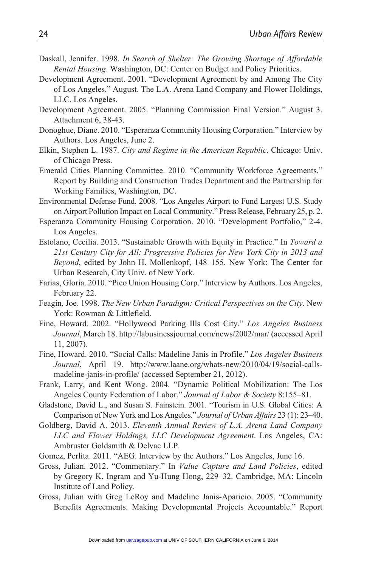- Daskall, Jennifer. 1998. *In Search of Shelter: The Growing Shortage of Affordable Rental Housing*. Washington, DC: Center on Budget and Policy Priorities.
- Development Agreement. 2001. "Development Agreement by and Among The City of Los Angeles." August. The L.A. Arena Land Company and Flower Holdings, LLC. Los Angeles.
- Development Agreement. 2005. "Planning Commission Final Version." August 3. Attachment 6, 38-43.
- Donoghue, Diane. 2010. "Esperanza Community Housing Corporation." Interview by Authors. Los Angeles, June 2.
- Elkin, Stephen L. 1987. *City and Regime in the American Republic*. Chicago: Univ. of Chicago Press.
- Emerald Cities Planning Committee. 2010. "Community Workforce Agreements." Report by Building and Construction Trades Department and the Partnership for Working Families, Washington, DC.

Environmental Defense Fund. 2008. "Los Angeles Airport to Fund Largest U.S. Study on Airport Pollution Impact on Local Community." Press Release, February 25, p. 2.

- Esperanza Community Housing Corporation. 2010. "Development Portfolio," 2-4. Los Angeles.
- Estolano, Cecilia. 2013. "Sustainable Growth with Equity in Practice." In *Toward a 21st Century City for All: Progressive Policies for New York City in 2013 and Beyond*, edited by John H. Mollenkopf, 148–155. New York: The Center for Urban Research, City Univ. of New York.
- Farias, Gloria. 2010. "Pico Union Housing Corp." Interview by Authors. Los Angeles, February 22.
- Feagin, Joe. 1998. *The New Urban Paradigm: Critical Perspectives on the City*. New York: Rowman & Littlefield.
- Fine, Howard. 2002. "Hollywood Parking Ills Cost City." *Los Angeles Business Journal*, March 18. http://labusinessjournal.com/news/2002/mar/ (accessed April 11, 2007).
- Fine, Howard. 2010. "Social Calls: Madeline Janis in Profile." *Los Angeles Business Journal*, April 19. http://www.laane.org/whats-new/2010/04/19/social-callsmadeline-janis-in-profile/ (accessed September 21, 2012).
- Frank, Larry, and Kent Wong. 2004. "Dynamic Political Mobilization: The Los Angeles County Federation of Labor." *Journal of Labor & Society* 8:155–81.
- Gladstone, David L., and Susan S. Fainstein. 2001. "Tourism in U.S. Global Cities: A Comparison of New York and Los Angeles." *Journal of Urban Affairs* 23 (1): 23–40.
- Goldberg, David A. 2013. *Eleventh Annual Review of L.A. Arena Land Company LLC and Flower Holdings, LLC Development Agreement*. Los Angeles, CA: Ambruster Goldsmith & Delvac LLP.
- Gomez, Perlita. 2011. "AEG. Interview by the Authors." Los Angeles, June 16.
- Gross, Julian. 2012. "Commentary." In *Value Capture and Land Policies*, edited by Gregory K. Ingram and Yu-Hung Hong, 229–32. Cambridge, MA: Lincoln Institute of Land Policy.
- Gross, Julian with Greg LeRoy and Madeline Janis-Aparicio. 2005. "Community Benefits Agreements. Making Developmental Projects Accountable." Report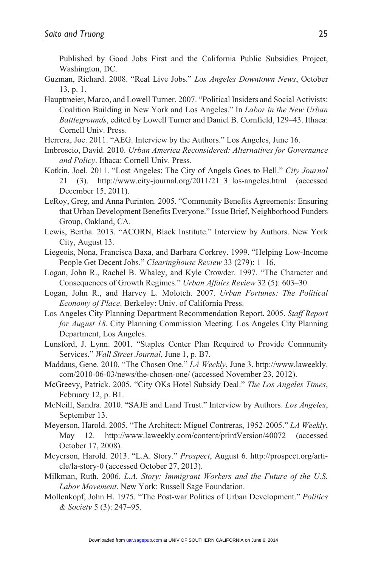Published by Good Jobs First and the California Public Subsidies Project, Washington, DC.

- Guzman, Richard. 2008. "Real Live Jobs." *Los Angeles Downtown News*, October 13, p. 1.
- Hauptmeier, Marco, and Lowell Turner. 2007. "Political Insiders and Social Activists: Coalition Building in New York and Los Angeles." In *Labor in the New Urban Battlegrounds*, edited by Lowell Turner and Daniel B. Cornfield, 129–43. Ithaca: Cornell Univ. Press.
- Herrera, Joe. 2011. "AEG. Interview by the Authors." Los Angeles, June 16.
- Imbroscio, David. 2010. *Urban America Reconsidered: Alternatives for Governance and Policy*. Ithaca: Cornell Univ. Press.
- Kotkin, Joel. 2011. "Lost Angeles: The City of Angels Goes to Hell." *City Journal* 21 (3). http://www.city-journal.org/2011/21\_3\_los-angeles.html (accessed December 15, 2011).
- LeRoy, Greg, and Anna Purinton. 2005. "Community Benefits Agreements: Ensuring that Urban Development Benefits Everyone." Issue Brief, Neighborhood Funders Group, Oakland, CA.
- Lewis, Bertha. 2013. "ACORN, Black Institute." Interview by Authors. New York City, August 13.
- Liegeois, Nona, Francisca Baxa, and Barbara Corkrey. 1999. "Helping Low-Income People Get Decent Jobs." *Clearinghouse Review* 33 (279): 1–16.
- Logan, John R., Rachel B. Whaley, and Kyle Crowder. 1997. "The Character and Consequences of Growth Regimes." *Urban Affairs Review* 32 (5): 603–30.
- Logan, John R., and Harvey L. Molotch. 2007. *Urban Fortunes: The Political Economy of Place*. Berkeley: Univ. of California Press.
- Los Angeles City Planning Department Recommendation Report. 2005. *Staff Report for August 18*. City Planning Commission Meeting. Los Angeles City Planning Department, Los Angeles.
- Lunsford, J. Lynn. 2001. "Staples Center Plan Required to Provide Community Services." *Wall Street Journal*, June 1, p. B7.
- Maddaus, Gene. 2010. "The Chosen One." *LA Weekly*, June 3. http://www.laweekly. com/2010-06-03/news/the-chosen-one/ (accessed November 23, 2012).
- McGreevy, Patrick. 2005. "City OKs Hotel Subsidy Deal." *The Los Angeles Times*, February 12, p. B1.
- McNeill, Sandra. 2010. "SAJE and Land Trust." Interview by Authors. *Los Angeles*, September 13.
- Meyerson, Harold. 2005. "The Architect: Miguel Contreras, 1952-2005." *LA Weekly*, May 12. http://www.laweekly.com/content/printVersion/40072 (accessed October 17, 2008).
- Meyerson, Harold. 2013. "L.A. Story." *Prospect*, August 6. http://prospect.org/article/la-story-0 (accessed October 27, 2013).
- Milkman, Ruth. 2006. *L.A. Story: Immigrant Workers and the Future of the U.S. Labor Movement*. New York: Russell Sage Foundation.
- Mollenkopf, John H. 1975. "The Post-war Politics of Urban Development." *Politics & Society* 5 (3): 247–95.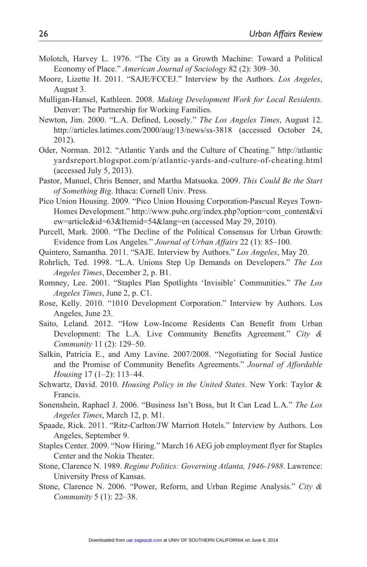- Molotch, Harvey L. 1976. "The City as a Growth Machine: Toward a Political Economy of Place." *American Journal of Sociology* 82 (2): 309–30.
- Moore, Lizette H. 2011. "SAJE/FCCEJ." Interview by the Authors. *Los Angeles*, August 3.
- Mulligan-Hansel, Kathleen. 2008. *Making Development Work for Local Residents*. Denver: The Partnership for Working Families.
- Newton, Jim. 2000. "L.A. Defined, Loosely." *The Los Angeles Times*, August 12. http://articles.latimes.com/2000/aug/13/news/ss-3818 (accessed October 24, 2012).
- Oder, Norman. 2012. "Atlantic Yards and the Culture of Cheating." http://atlantic yardsreport.blogspot.com/p/atlantic-yards-and-culture-of-cheating.html (accessed July 5, 2013).
- Pastor, Manuel, Chris Benner, and Martha Matsuoka. 2009. *This Could Be the Start of Something Big*. Ithaca: Cornell Univ. Press.
- Pico Union Housing. 2009. "Pico Union Housing Corporation-Pascual Reyes Town-Homes Development." http://www.puhc.org/index.php?option=com\_content&vi ew=article&id=63&Itemid=54&lang=en (accessed May 29, 2010).
- Purcell, Mark. 2000. "The Decline of the Political Consensus for Urban Growth: Evidence from Los Angeles." *Journal of Urban Affairs* 22 (1): 85–100.
- Quintero, Samantha. 2011. "SAJE. Interview by Authors." *Los Angeles*, May 20.
- Rohrlich, Ted. 1998. "L.A. Unions Step Up Demands on Developers." *The Los Angeles Times*, December 2, p. B1.
- Romney, Lee. 2001. "Staples Plan Spotlights 'Invisible' Communities." *The Los Angeles Times*, June 2, p. C1.
- Rose, Kelly. 2010. "1010 Development Corporation." Interview by Authors. Los Angeles, June 23.
- Saito, Leland. 2012. "How Low-Income Residents Can Benefit from Urban Development: The L.A. Live Community Benefits Agreement." *City & Community* 11 (2): 129–50.
- Salkin, Patricia E., and Amy Lavine. 2007/2008. "Negotiating for Social Justice and the Promise of Community Benefits Agreements." *Journal of Affordable Housing* 17 (1–2): 113–44.
- Schwartz, David. 2010. *Housing Policy in the United States*. New York: Taylor & Francis.
- Sonenshein, Raphael J. 2006. "Business Isn't Boss, but It Can Lead L.A." *The Los Angeles Times*, March 12, p. M1.
- Spaade, Rick. 2011. "Ritz-Carlton/JW Marriott Hotels." Interview by Authors. Los Angeles, September 9.
- Staples Center. 2009. "Now Hiring." March 16 AEG job employment flyer for Staples Center and the Nokia Theater.
- Stone, Clarence N. 1989. *Regime Politics: Governing Atlanta, 1946-1988*. Lawrence: University Press of Kansas.
- Stone, Clarence N. 2006. "Power, Reform, and Urban Regime Analysis." *City & Community* 5 (1): 22–38.